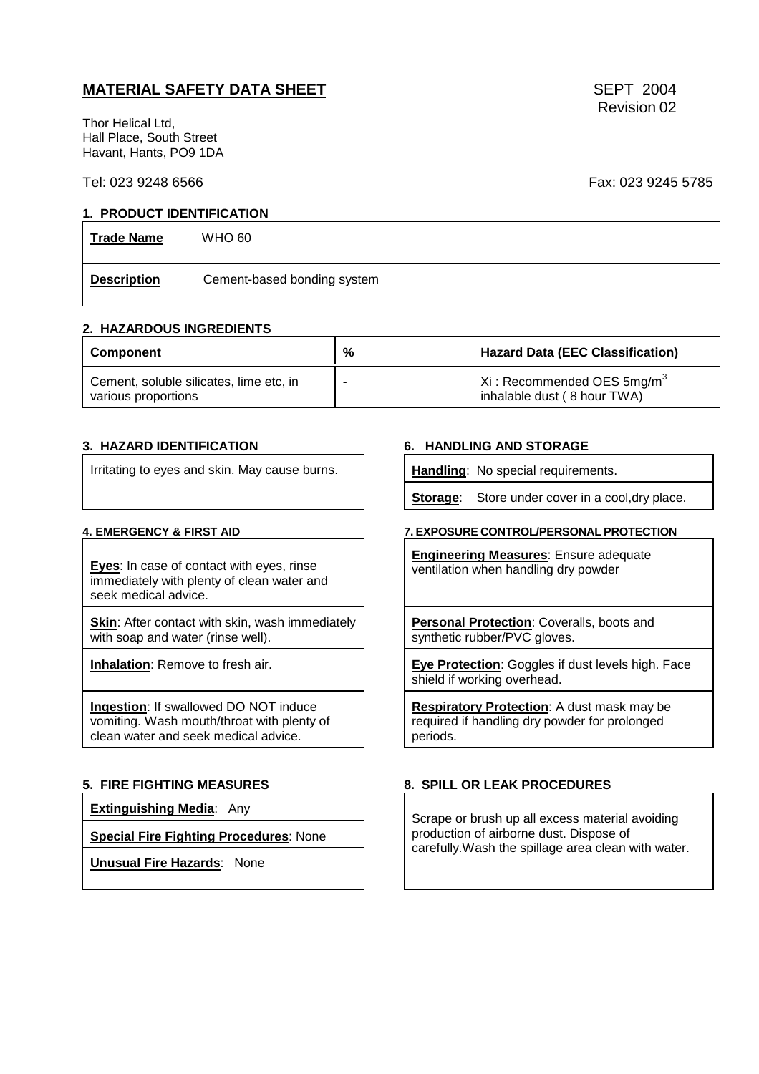# **MATERIAL SAFETY DATA SHEET** SEPT 2004

Thor Helical Ltd, Hall Place, South Street Havant, Hants, PO9 1DA

### Tel: 023 9248 6566 Fax: 023 9245 5785

## **1. PRODUCT IDENTIFICATION**

| <b>Trade Name</b>  | <b>WHO 60</b>               |
|--------------------|-----------------------------|
| <b>Description</b> | Cement-based bonding system |

### **2. HAZARDOUS INGREDIENTS**

| <b>Component</b>                                               | % | <b>Hazard Data (EEC Classification)</b>                                       |  |
|----------------------------------------------------------------|---|-------------------------------------------------------------------------------|--|
| Cement, soluble silicates, lime etc, in<br>various proportions |   | $\mid$ Xi : Recommended OES 5mg/m <sup>3</sup><br>inhalable dust (8 hour TWA) |  |

Irritating to eyes and skin. May cause burns. **Handling**: No special requirements.

**Eyes**: In case of contact with eyes, rinse immediately with plenty of clean water and seek medical advice.

**Skin:** After contact with skin, wash immediately with soap and water (rinse well).

**Ingestion**: If swallowed DO NOT induce vomiting. Wash mouth/throat with plenty of clean water and seek medical advice.

**Extinguishing Media**: Any

**Special Fire Fighting Procedures**: None

**Unusual Fire Hazards**: None

## **3. HAZARD IDENTIFICATION 6. HANDLING AND STORAGE**

**Storage:** Store under cover in a cool, dry place.

### **4. EMERGENCY & FIRST AID 7. EXPOSURE CONTROL/PERSONAL PROTECTION**

**Engineering Measures**: Ensure adequate ventilation when handling dry powder

**Personal Protection**: Coveralls, boots and synthetic rubber/PVC gloves.

**Inhalation**: Remove to fresh air. **Exercition**: Goggles if dust levels high. Face shield if working overhead.

> **Respiratory Protection**: A dust mask may be required if handling dry powder for prolonged periods.

### **5. FIRE FIGHTING MEASURES 8. SPILL OR LEAK PROCEDURES**

Scrape or brush up all excess material avoiding production of airborne dust. Dispose of carefully.Wash the spillage area clean with water.

Revision 02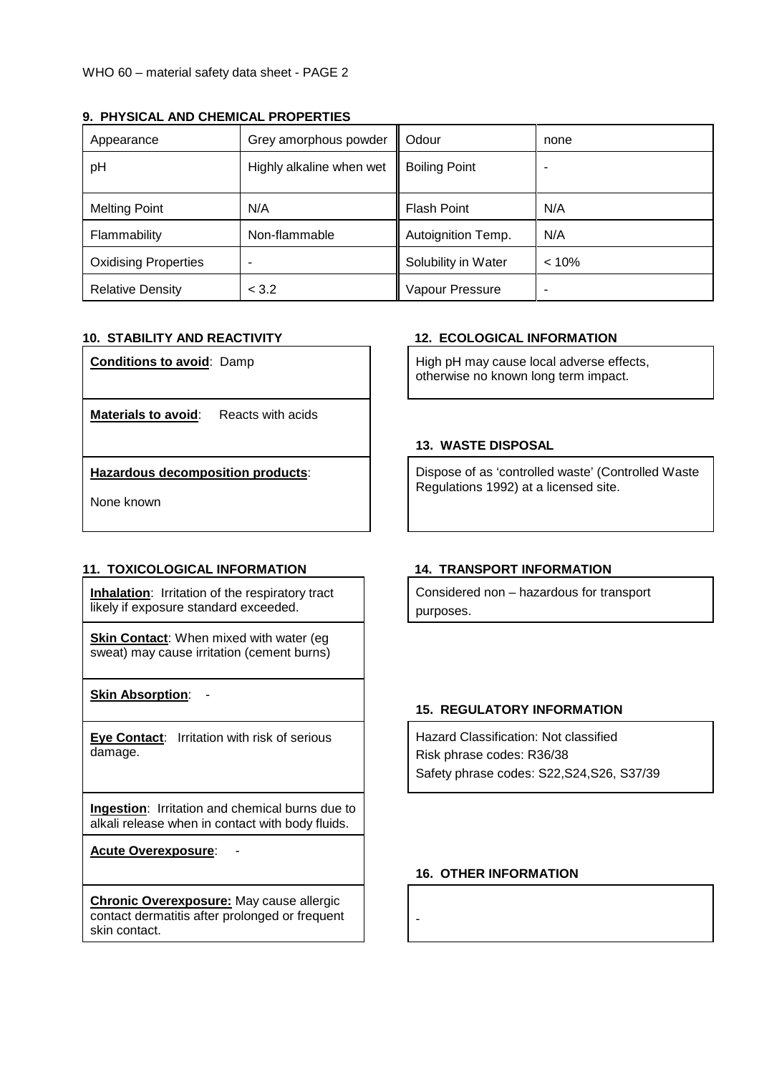| Appearance                  | Grey amorphous powder    | Odour                | none  |
|-----------------------------|--------------------------|----------------------|-------|
| pH                          | Highly alkaline when wet | <b>Boiling Point</b> |       |
| <b>Melting Point</b>        | N/A                      | <b>Flash Point</b>   | N/A   |
| Flammability                | Non-flammable            | Autoignition Temp.   | N/A   |
| <b>Oxidising Properties</b> |                          | Solubility in Water  | < 10% |
| <b>Relative Density</b>     | < 3.2                    | Vapour Pressure      |       |

# **9. PHYSICAL AND CHEMICAL PROPERTIES**

**Materials to avoid:** Reacts with acids

**Hazardous decomposition products**:

None known

# **11. TOXICOLOGICAL INFORMATION 14. TRANSPORT INFORMATION**

**Inhalation:** Irritation of the respiratory tract likely if exposure standard exceeded.

**Skin Contact:** When mixed with water (eg sweat) may cause irritation (cement burns)

**Skin Absorption**: -

**Eye Contact**: Irritation with risk of serious damage.

**Ingestion**: Irritation and chemical burns due to alkali release when in contact with body fluids.

**Acute Overexposure:** 

**Chronic Overexposure:** May cause allergic contact dermatitis after prolonged or frequent skin contact.

# **10. STABILITY AND REACTIVITY 12. ECOLOGICAL INFORMATION**

**Conditions to avoid:** Damp  $\left| \begin{array}{c} | \\ | \end{array} \right|$  High pH may cause local adverse effects, otherwise no known long term impact.

# **13. WASTE DISPOSAL**

Dispose of as 'controlled waste' (Controlled Waste Regulations 1992) at a licensed site.

Considered non – hazardous for transport purposes.

# **15. REGULATORY INFORMATION**

Hazard Classification: Not classified Risk phrase codes: R36/38 Safety phrase codes: S22,S24,S26, S37/39

# **16. OTHER INFORMATION**

-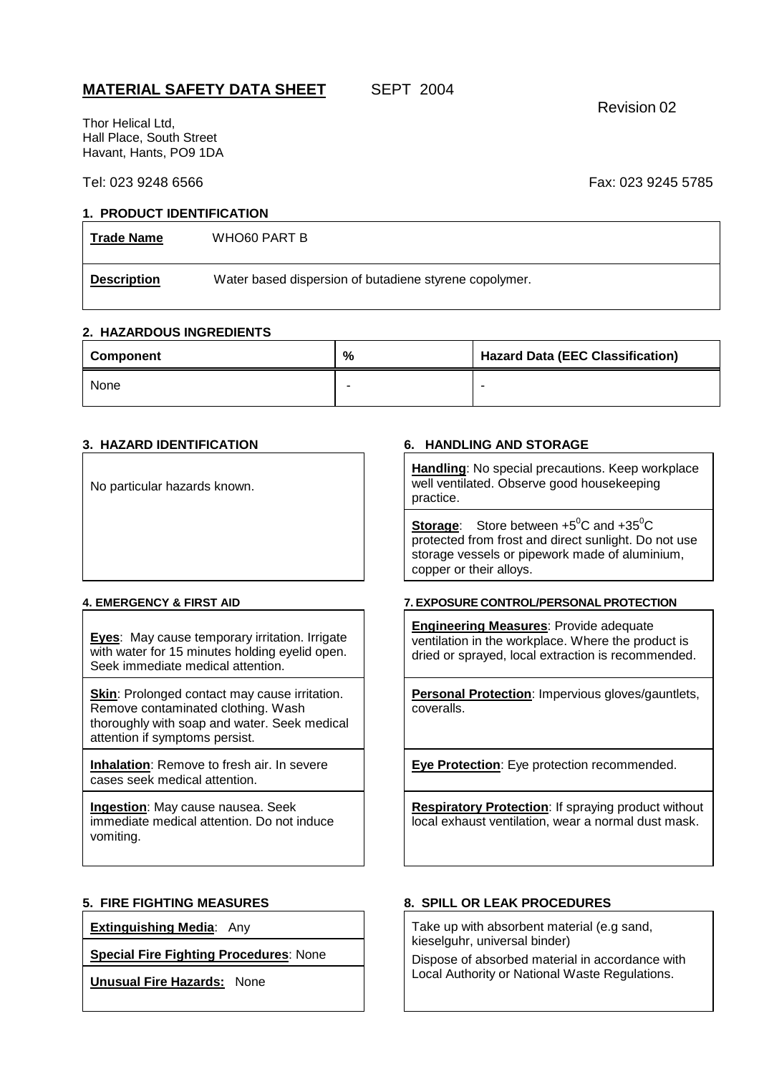# **MATERIAL SAFETY DATA SHEET** SEPT 2004

Revision 02

Thor Helical Ltd, Hall Place, South Street Havant, Hants, PO9 1DA

# Tel: 023 9248 6566 Fax: 023 9245 5785

## **1. PRODUCT IDENTIFICATION**

**Trade Name** WHO60 PART B

**Description** Water based dispersion of butadiene styrene copolymer.

## **2. HAZARDOUS INGREDIENTS**

| Component | % | <b>Hazard Data (EEC Classification)</b> |  |
|-----------|---|-----------------------------------------|--|
| None      |   |                                         |  |

No particular hazards known.

**Eyes**: May cause temporary irritation. Irrigate with water for 15 minutes holding evelid open. Seek immediate medical attention.

**Skin: Prolonged contact may cause irritation.** Remove contaminated clothing. Wash thoroughly with soap and water. Seek medical attention if symptoms persist.

**Inhalation**: Remove to fresh air. In severe cases seek medical attention.

**Ingestion**: May cause nausea. Seek immediate medical attention. Do not induce vomiting.

**Special Fire Fighting Procedures**: None

**Unusual Fire Hazards:** None

## **3. HAZARD IDENTIFICATION 6. HANDLING AND STORAGE**

**Handling**: No special precautions. Keep workplace well ventilated. Observe good housekeeping practice.

**Storage:** Store between +5<sup>°</sup>C and +35<sup>°</sup>C protected from frost and direct sunlight. Do not use storage vessels or pipework made of aluminium, copper or their alloys.

### **4. EMERGENCY & FIRST AID 7. EXPOSURE CONTROL/PERSONAL PROTECTION**

**Engineering Measures**: Provide adequate ventilation in the workplace. Where the product is dried or sprayed, local extraction is recommended.

**Personal Protection**: Impervious gloves/gauntlets, coveralls.

**Eye Protection**: Eye protection recommended.

**Respiratory Protection**: If spraying product without local exhaust ventilation, wear a normal dust mask.

### **5. FIRE FIGHTING MEASURES 8. SPILL OR LEAK PROCEDURES**

**Extinguishing Media**: Any Take up with absorbent material (e.g sand, kieselguhr, universal binder)

> Dispose of absorbed material in accordance with Local Authority or National Waste Regulations.